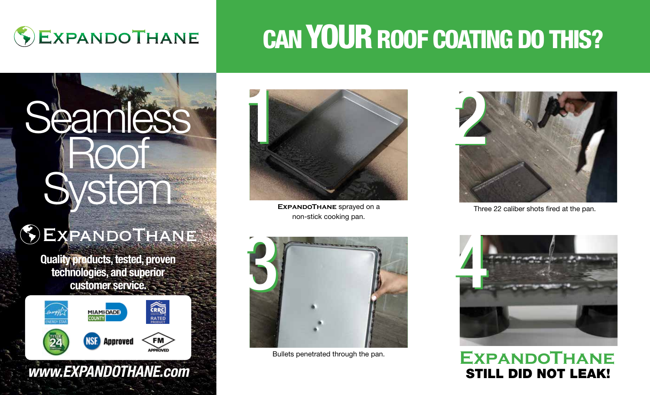

# CAN YOUR ROOF COATING DO THIS?

# **Seamless** Roof System

# EXPANDOTHANE

Quality products, tested, proven technologies, and superior customer service.



*www.EXPANDOTHANE.com*



**EXPANDOTHANE** sprayed on a non-stick cooking pan.



Three 22 caliber shots fired at the pan.



Bullets penetrated through the pan.



## **ExpandoThane** STILL DID NOT LEAK!